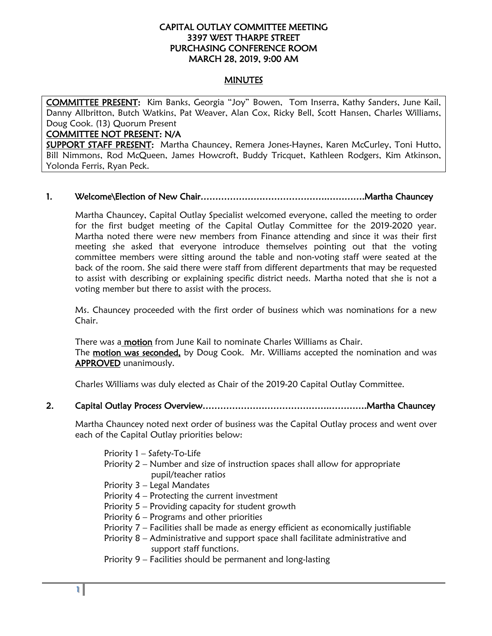### CAPITAL OUTLAY COMMITTEE MEETING 3397 WEST THARPE STREET PURCHASING CONFERENCE ROOM MARCH 28, 2019, 9:00 AM

#### MINUTES

COMMITTEE PRESENT: Kim Banks, Georgia "Joy" Bowen, Tom Inserra, Kathy Sanders, June Kail, Danny Allbritton, Butch Watkins, Pat Weaver, Alan Cox, Ricky Bell, Scott Hansen, Charles Williams, Doug Cook. (13) Quorum Present

#### COMMITTEE NOT PRESENT: N/A

SUPPORT STAFF PRESENT: Martha Chauncey, Remera Jones-Haynes, Karen McCurley, Toni Hutto, Bill Nimmons, Rod McQueen, James Howcroft, Buddy Tricquet, Kathleen Rodgers, Kim Atkinson, Yolonda Ferris, Ryan Peck.

### 1. Welcome\Election of New Chair…………………………………….………….Martha Chauncey

Martha Chauncey, Capital Outlay Specialist welcomed everyone, called the meeting to order for the first budget meeting of the Capital Outlay Committee for the 2019-2020 year. Martha noted there were new members from Finance attending and since it was their first meeting she asked that everyone introduce themselves pointing out that the voting committee members were sitting around the table and non-voting staff were seated at the back of the room. She said there were staff from different departments that may be requested to assist with describing or explaining specific district needs. Martha noted that she is not a voting member but there to assist with the process.

Ms. Chauncey proceeded with the first order of business which was nominations for a new Chair.

There was a motion from June Kail to nominate Charles Williams as Chair. The motion was seconded, by Doug Cook. Mr. Williams accepted the nomination and was APPROVED unanimously.

Charles Williams was duly elected as Chair of the 2019-20 Capital Outlay Committee.

### 2. Capital Outlay Process Overview…………………………………….………….Martha Chauncey

Martha Chauncey noted next order of business was the Capital Outlay process and went over each of the Capital Outlay priorities below:

Priority 1 – Safety-To-Life

- Priority 2 Number and size of instruction spaces shall allow for appropriate pupil/teacher ratios
- Priority 3 Legal Mandates
- Priority 4 Protecting the current investment
- Priority 5 Providing capacity for student growth
- Priority 6 Programs and other priorities
- Priority 7 Facilities shall be made as energy efficient as economically justifiable
- Priority 8 Administrative and support space shall facilitate administrative and support staff functions.
- Priority 9 Facilities should be permanent and long-lasting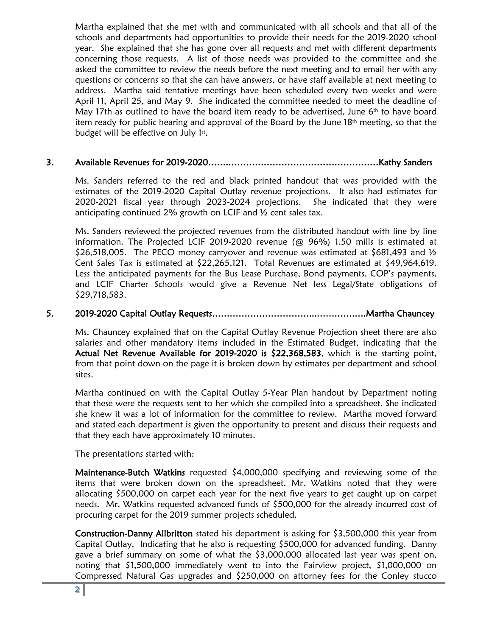Martha explained that she met with and communicated with all schools and that all of the schools and departments had opportunities to provide their needs for the 2019-2020 school year. She explained that she has gone over all requests and met with different departments concerning those requests. A list of those needs was provided to the committee and she asked the committee to review the needs before the next meeting and to email her with any questions or concerns so that she can have answers, or have staff available at next meeting to address. Martha said tentative meetings have been scheduled every two weeks and were April 11, April 25, and May 9. She indicated the committee needed to meet the deadline of May 17th as outlined to have the board item ready to be advertised, June  $6<sup>th</sup>$  to have board item ready for public hearing and approval of the Board by the June  $18<sup>th</sup>$  meeting, so that the budget will be effective on July  $1<sup>st</sup>$ .

# 3. Available Revenues for 2019-2020…….……………………………………………Kathy Sanders

Ms. Sanders referred to the red and black printed handout that was provided with the estimates of the 2019-2020 Capital Outlay revenue projections. It also had estimates for 2020-2021 fiscal year through 2023-2024 projections. She indicated that they were anticipating continued 2% growth on LCIF and ½ cent sales tax.

Ms. Sanders reviewed the projected revenues from the distributed handout with line by line information. The Projected LCIF 2019-2020 revenue (@ 96%) 1.50 mills is estimated at  $$26,518,005$ . The PECO money carryover and revenue was estimated at  $$681,493$  and  $\frac{1}{2}$ Cent Sales Tax is estimated at \$22,265,121. Total Revenues are estimated at \$49,964,619. Less the anticipated payments for the Bus Lease Purchase, Bond payments, COP's payments, and LCIF Charter Schools would give a Revenue Net less Legal/State obligations of \$29,718,583.

# 5. 2019-2020 Capital Outlay Requests……………………………...………….….Martha Chauncey

Ms. Chauncey explained that on the Capital Outlay Revenue Projection sheet there are also salaries and other mandatory items included in the Estimated Budget, indicating that the Actual Net Revenue Available for 2019-2020 is  $$22,368,583$ , which is the starting point, from that point down on the page it is broken down by estimates per department and school sites.

Martha continued on with the Capital Outlay 5-Year Plan handout by Department noting that these were the requests sent to her which she compiled into a spreadsheet. She indicated she knew it was a lot of information for the committee to review. Martha moved forward and stated each department is given the opportunity to present and discuss their requests and that they each have approximately 10 minutes.

The presentations started with:

Maintenance-Butch Watkins requested \$4,000,000 specifying and reviewing some of the items that were broken down on the spreadsheet. Mr. Watkins noted that they were allocating \$500,000 on carpet each year for the next five years to get caught up on carpet needs. Mr. Watkins requested advanced funds of \$500,000 for the already incurred cost of procuring carpet for the 2019 summer projects scheduled.

Construction-Danny Allbritton stated his department is asking for \$3,500,000 this year from Capital Outlay. Indicating that he also is requesting \$500,000 for advanced funding. Danny gave a brief summary on some of what the \$3,000,000 allocated last year was spent on, noting that \$1,500,000 immediately went to into the Fairview project, \$1,000,000 on Compressed Natural Gas upgrades and \$250,000 on attorney fees for the Conley stucco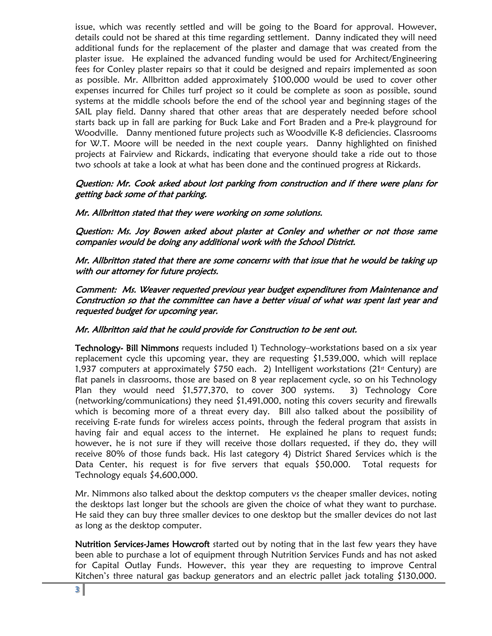issue, which was recently settled and will be going to the Board for approval. However, details could not be shared at this time regarding settlement. Danny indicated they will need additional funds for the replacement of the plaster and damage that was created from the plaster issue. He explained the advanced funding would be used for Architect/Engineering fees for Conley plaster repairs so that it could be designed and repairs implemented as soon as possible. Mr. Allbritton added approximately \$100,000 would be used to cover other expenses incurred for Chiles turf project so it could be complete as soon as possible, sound systems at the middle schools before the end of the school year and beginning stages of the SAIL play field. Danny shared that other areas that are desperately needed before school starts back up in fall are parking for Buck Lake and Fort Braden and a Pre-k playground for Woodville. Danny mentioned future projects such as Woodville K-8 deficiencies. Classrooms for W.T. Moore will be needed in the next couple years. Danny highlighted on finished projects at Fairview and Rickards, indicating that everyone should take a ride out to those two schools at take a look at what has been done and the continued progress at Rickards.

### Question: Mr. Cook asked about lost parking from construction and if there were plans for getting back some of that parking.

Mr. Allbritton stated that they were working on some solutions.

Question: Ms. Joy Bowen asked about plaster at Conley and whether or not those same companies would be doing any additional work with the School District.

Mr. Allbritton stated that there are some concerns with that issue that he would be taking up with our attorney for future projects.

Comment: Ms. Weaver requested previous year budget expenditures from Maintenance and Construction so that the committee can have a better visual of what was spent last year and requested budget for upcoming year.

# Mr. Allbritton said that he could provide for Construction to be sent out.

Technology- Bill Nimmons requests included 1) Technology–workstations based on a six year replacement cycle this upcoming year, they are requesting \$1,539,000, which will replace 1,937 computers at approximately \$750 each. 2) Intelligent workstations (21<sup>st</sup> Century) are flat panels in classrooms, those are based on 8 year replacement cycle, so on his Technology Plan they would need \$1,577,370, to cover 300 systems. 3) Technology Core (networking/communications) they need \$1,491,000, noting this covers security and firewalls which is becoming more of a threat every day. Bill also talked about the possibility of receiving E-rate funds for wireless access points, through the federal program that assists in having fair and equal access to the internet. He explained he plans to request funds; however, he is not sure if they will receive those dollars requested, if they do, they will receive 80% of those funds back. His last category 4) District Shared Services which is the Data Center, his request is for five servers that equals \$50,000. Total requests for Technology equals \$4,600,000.

Mr. Nimmons also talked about the desktop computers vs the cheaper smaller devices, noting the desktops last longer but the schools are given the choice of what they want to purchase. He said they can buy three smaller devices to one desktop but the smaller devices do not last as long as the desktop computer.

Nutrition Services-James Howcroft started out by noting that in the last few years they have been able to purchase a lot of equipment through Nutrition Services Funds and has not asked for Capital Outlay Funds. However, this year they are requesting to improve Central Kitchen's three natural gas backup generators and an electric pallet jack totaling \$130,000.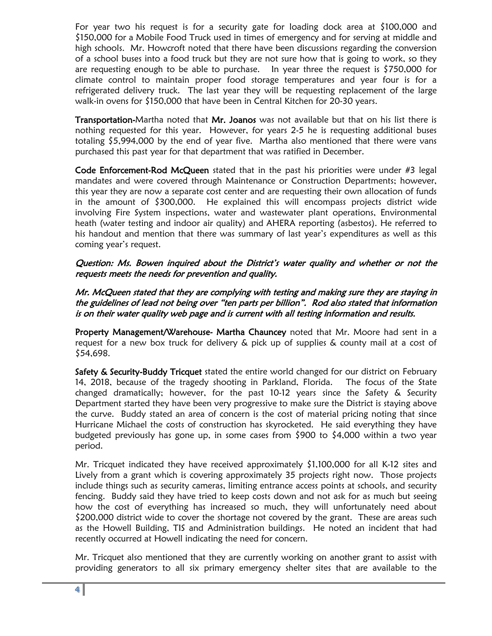For year two his request is for a security gate for loading dock area at \$100,000 and \$150,000 for a Mobile Food Truck used in times of emergency and for serving at middle and high schools. Mr. Howcroft noted that there have been discussions regarding the conversion of a school buses into a food truck but they are not sure how that is going to work, so they are requesting enough to be able to purchase. In year three the request is \$750,000 for climate control to maintain proper food storage temperatures and year four is for a refrigerated delivery truck. The last year they will be requesting replacement of the large walk-in ovens for \$150,000 that have been in Central Kitchen for 20-30 years.

Transportation-Martha noted that Mr. Joanos was not available but that on his list there is nothing requested for this year. However, for years 2-5 he is requesting additional buses totaling \$5,994,000 by the end of year five. Martha also mentioned that there were vans purchased this past year for that department that was ratified in December.

Code Enforcement-Rod McQueen stated that in the past his priorities were under #3 legal mandates and were covered through Maintenance or Construction Departments; however, this year they are now a separate cost center and are requesting their own allocation of funds in the amount of \$300,000. He explained this will encompass projects district wide involving Fire System inspections, water and wastewater plant operations, Environmental heath (water testing and indoor air quality) and AHERA reporting (asbestos). He referred to his handout and mention that there was summary of last year's expenditures as well as this coming year's request.

Question: Ms. Bowen inquired about the District's water quality and whether or not the requests meets the needs for prevention and quality.

Mr. McQueen stated that they are complying with testing and making sure they are staying in the guidelines of lead not being over "ten parts per billion". Rod also stated that information is on their water quality web page and is current with all testing information and results.

Property Management/Warehouse- Martha Chauncey noted that Mr. Moore had sent in a request for a new box truck for delivery & pick up of supplies & county mail at a cost of \$54,698.

Safety & Security-Buddy Tricquet stated the entire world changed for our district on February 14, 2018, because of the tragedy shooting in Parkland, Florida. The focus of the State changed dramatically; however, for the past 10-12 years since the Safety & Security Department started they have been very progressive to make sure the District is staying above the curve. Buddy stated an area of concern is the cost of material pricing noting that since Hurricane Michael the costs of construction has skyrocketed. He said everything they have budgeted previously has gone up, in some cases from \$900 to \$4,000 within a two year period.

Mr. Tricquet indicated they have received approximately \$1,100,000 for all K-12 sites and Lively from a grant which is covering approximately 35 projects right now. Those projects include things such as security cameras, limiting entrance access points at schools, and security fencing. Buddy said they have tried to keep costs down and not ask for as much but seeing how the cost of everything has increased so much, they will unfortunately need about \$200,000 district wide to cover the shortage not covered by the grant. These are areas such as the Howell Building, TIS and Administration buildings. He noted an incident that had recently occurred at Howell indicating the need for concern.

Mr. Tricquet also mentioned that they are currently working on another grant to assist with providing generators to all six primary emergency shelter sites that are available to the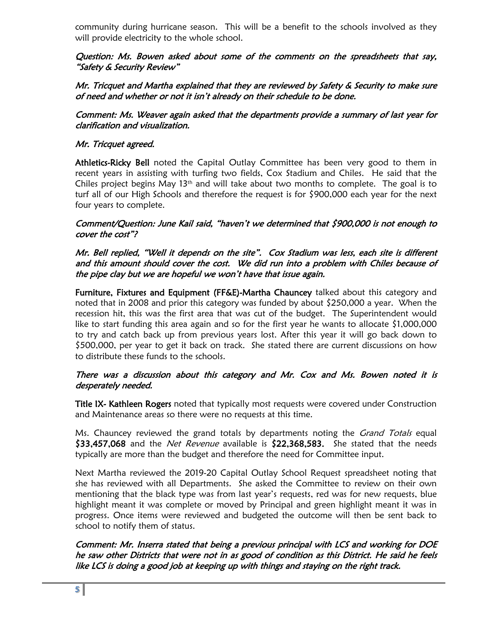community during hurricane season. This will be a benefit to the schools involved as they will provide electricity to the whole school.

# Question: Ms. Bowen asked about some of the comments on the spreadsheets that say, "Safety & Security Review"

Mr. Tricquet and Martha explained that they are reviewed by Safety & Security to make sure of need and whether or not it isn't already on their schedule to be done.

Comment: Ms. Weaver again asked that the departments provide a summary of last year for clarification and visualization.

# Mr. Tricquet agreed.

Athletics-Ricky Bell noted the Capital Outlay Committee has been very good to them in recent years in assisting with turfing two fields, Cox Stadium and Chiles. He said that the Chiles project begins May  $13<sup>th</sup>$  and will take about two months to complete. The goal is to turf all of our High Schools and therefore the request is for \$900,000 each year for the next four years to complete.

### Comment/Question: June Kail said, "haven't we determined that \$900,000 is not enough to cover the cost"?

### Mr. Bell replied, "Well it depends on the site". Cox Stadium was less, each site is different and this amount should cover the cost. We did run into a problem with Chiles because of the pipe clay but we are hopeful we won't have that issue again.

Furniture, Fixtures and Equipment (FF&E)-Martha Chauncey talked about this category and noted that in 2008 and prior this category was funded by about \$250,000 a year. When the recession hit, this was the first area that was cut of the budget. The Superintendent would like to start funding this area again and so for the first year he wants to allocate \$1,000,000 to try and catch back up from previous years lost. After this year it will go back down to \$500,000, per year to get it back on track. She stated there are current discussions on how to distribute these funds to the schools.

### There was a discussion about this category and Mr. Cox and Ms. Bowen noted it is desperately needed.

**Title IX- Kathleen Rogers** noted that typically most requests were covered under Construction and Maintenance areas so there were no requests at this time.

Ms. Chauncey reviewed the grand totals by departments noting the *Grand Totals* equal \$33,457,068 and the *Net Revenue* available is \$22,368,583. She stated that the needs typically are more than the budget and therefore the need for Committee input.

Next Martha reviewed the 2019-20 Capital Outlay School Request spreadsheet noting that she has reviewed with all Departments. She asked the Committee to review on their own mentioning that the black type was from last year's requests, red was for new requests, blue highlight meant it was complete or moved by Principal and green highlight meant it was in progress. Once items were reviewed and budgeted the outcome will then be sent back to school to notify them of status.

Comment: Mr. Inserra stated that being a previous principal with LCS and working for DOE he saw other Districts that were not in as good of condition as this District. He said he feels like LCS is doing a good job at keeping up with things and staying on the right track.